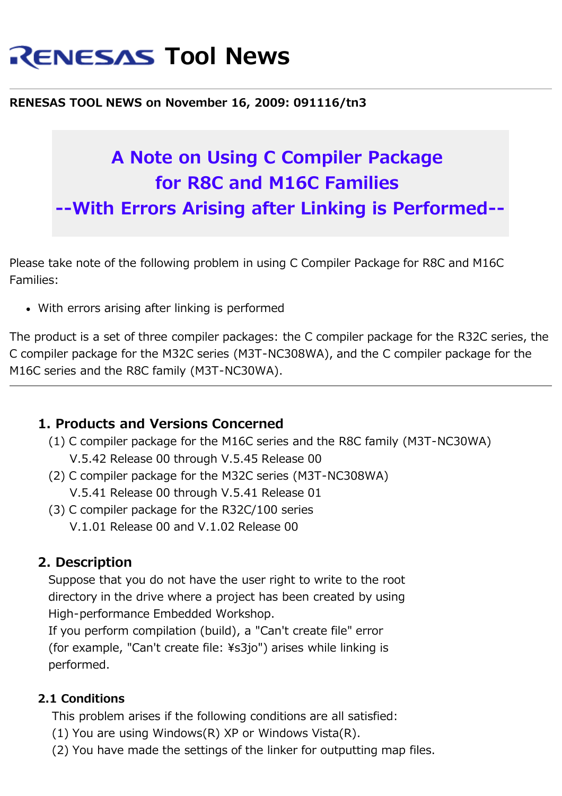# **RENESAS Tool News**

#### **RENESAS TOOL NEWS on November 16, 2009: 091116/tn3**

## **A Note on Using C Compiler Package for R8C and M16C Families --With Errors Arising after Linking is Performed--**

Please take note of the following problem in using C Compiler Package for R8C and M16C Families:

With errors arising after linking is performed

The product is a set of three compiler packages: the C compiler package for the R32C series, the C compiler package for the M32C series (M3T-NC308WA), and the C compiler package for the M16C series and the R8C family (M3T-NC30WA).

### **1. Products and Versions Concerned**

- (1) C compiler package for the M16C series and the R8C family (M3T-NC30WA) V.5.42 Release 00 through V.5.45 Release 00
- (2) C compiler package for the M32C series (M3T-NC308WA) V.5.41 Release 00 through V.5.41 Release 01
- (3) C compiler package for the R32C/100 series V.1.01 Release 00 and V.1.02 Release 00

### **2. Description**

 Suppose that you do not have the user right to write to the root directory in the drive where a project has been created by using High-performance Embedded Workshop.

 If you perform compilation (build), a "Can't create file" error (for example, "Can't create file: ¥s3jo") arises while linking is performed.

#### **2.1 Conditions**

This problem arises if the following conditions are all satisfied:

- (1) You are using Windows(R) XP or Windows Vista(R).
- (2) You have made the settings of the linker for outputting map files.